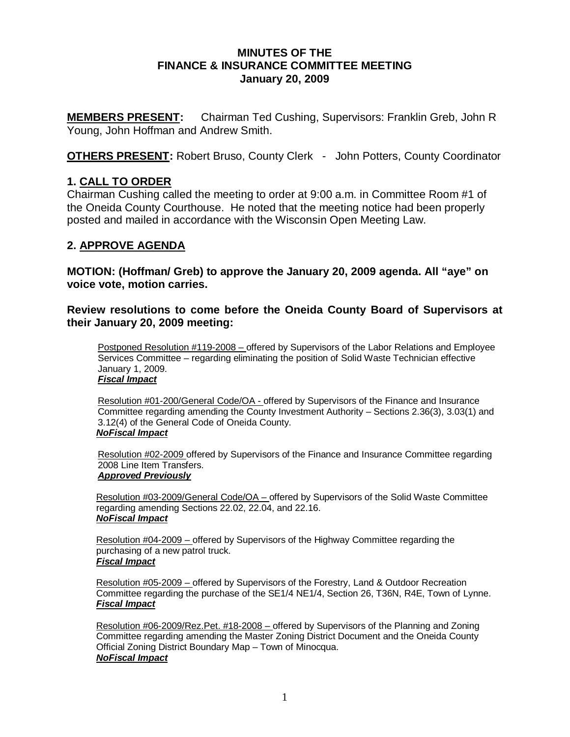### **MINUTES OF THE FINANCE & INSURANCE COMMITTEE MEETING January 20, 2009**

**MEMBERS PRESENT:** Chairman Ted Cushing, Supervisors: Franklin Greb, John R Young, John Hoffman and Andrew Smith.

**OTHERS PRESENT:** Robert Bruso, County Clerk - John Potters, County Coordinator

## **1. CALL TO ORDER**

Chairman Cushing called the meeting to order at 9:00 a.m. in Committee Room #1 of the Oneida County Courthouse. He noted that the meeting notice had been properly posted and mailed in accordance with the Wisconsin Open Meeting Law.

## **2. APPROVE AGENDA**

**MOTION: (Hoffman/ Greb) to approve the January 20, 2009 agenda. All "aye" on voice vote, motion carries.** 

**Review resolutions to come before the Oneida County Board of Supervisors at their January 20, 2009 meeting:** 

Postponed Resolution #119-2008 – offered by Supervisors of the Labor Relations and Employee Services Committee – regarding eliminating the position of Solid Waste Technician effective January 1, 2009. *Fiscal Impact*

Resolution #01-200/General Code/OA - offered by Supervisors of the Finance and Insurance Committee regarding amending the County Investment Authority – Sections 2.36(3), 3.03(1) and 3.12(4) of the General Code of Oneida County. *NoFiscal Impact*

Resolution #02-2009 offered by Supervisors of the Finance and Insurance Committee regarding 2008 Line Item Transfers. *Approved Previously*

Resolution #03-2009/General Code/OA - offered by Supervisors of the Solid Waste Committee regarding amending Sections 22.02, 22.04, and 22.16. *NoFiscal Impact*

Resolution #04-2009 – offered by Supervisors of the Highway Committee regarding the purchasing of a new patrol truck.  *Fiscal Impact*

Resolution #05-2009 – offered by Supervisors of the Forestry, Land & Outdoor Recreation Committee regarding the purchase of the SE1/4 NE1/4, Section 26, T36N, R4E, Town of Lynne. *Fiscal Impact*

Resolution #06-2009/Rez.Pet. #18-2008 – offered by Supervisors of the Planning and Zoning Committee regarding amending the Master Zoning District Document and the Oneida County Official Zoning District Boundary Map – Town of Minocqua. *NoFiscal Impact*